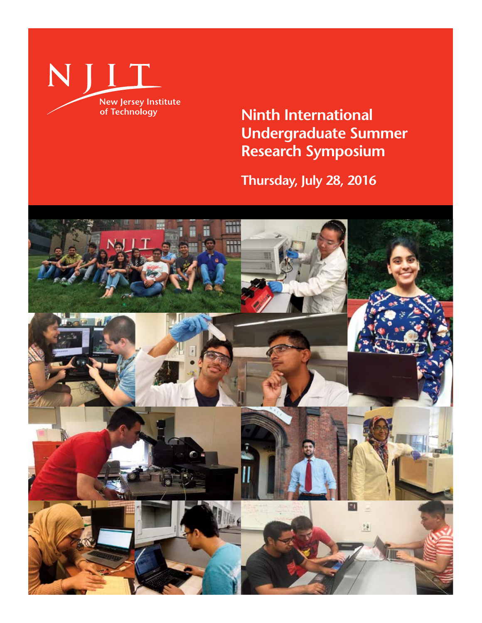

**Ninth International Undergraduate Summer Research Symposium**

**Thursday, July 28, 2016**

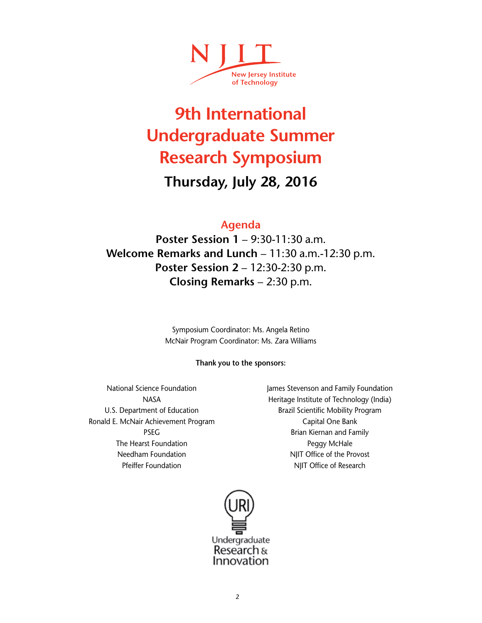

# **9th International Undergraduate Summer Research Symposium**

## **Thursday, July 28, 2016**

## **Agenda**

**Poster Session 1** – 9:30-11:30 a.m. **Welcome Remarks and Lunch** – 11:30 a.m.-12:30 p.m. **Poster Session 2** – 12:30-2:30 p.m. **Closing Remarks** – 2:30 p.m.

> Symposium Coordinator: Ms. Angela Retino McNair Program Coordinator: Ms. Zara Williams

### **Thank you to the sponsors:**

National Science Foundation NASA U.S. Department of Education Ronald E. McNair Achievement Program PSEG The Hearst Foundation Needham Foundation Pfeiffer Foundation

James Stevenson and Family Foundation Heritage Institute of Technology (India) Brazil Scientific Mobility Program Capital One Bank Brian Kiernan and Family Peggy McHale NJIT Office of the Provost NJIT Office of Research

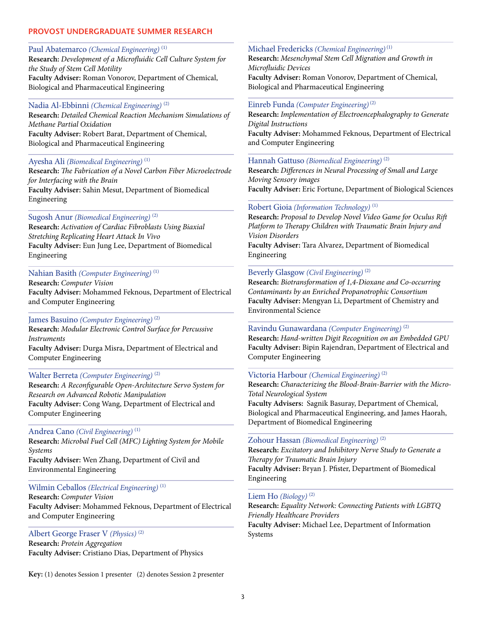### **PROVOST UNDERGRADUATE SUMMER RESEARCH**

### Paul Abatemarco *(Chemical Engineering)* (1)

**Research:** *Development of a Microfluidic Cell Culture System for the Study of Stem Cell Motility* **Faculty Adviser:** Roman Vonorov, Department of Chemical, Biological and Pharmaceutical Engineering

#### Nadia Al-Ebbinni *(Chemical Engineering)* (2)

**Research:** *Detailed Chemical Reaction Mechanism Simulations of Methane Partial Oxidation* **Faculty Adviser:** Robert Barat, Department of Chemical, Biological and Pharmaceutical Engineering

#### Ayesha Ali *(Biomedical Engineering)* (1)

**Research:** *The Fabrication of a Novel Carbon Fiber Microelectrode for Interfacing with the Brain* **Faculty Adviser:** Sahin Mesut, Department of Biomedical Engineering

#### Sugosh Anur *(Biomedical Engineering)* (2)

**Research:** *Activation of Cardiac Fibroblasts Using Biaxial Stretching Replicating Heart Attack In Vivo* **Faculty Adviser:** Eun Jung Lee, Department of Biomedical Engineering

### Nahian Basith *(Computer Engineering)* (1)

**Research:** *Computer Vision* **Faculty Adviser:** Mohammed Feknous, Department of Electrical and Computer Engineering

#### James Basuino *(Computer Engineering)* (2)

**Research:** *Modular Electronic Control Surface for Percussive Instruments* **Faculty Adviser:** Durga Misra, Department of Electrical and Computer Engineering

#### Walter Berreta *(Computer Engineering)* (2)

**Research:** *A Reconfigurable Open-Architecture Servo System for Research on Advanced Robotic Manipulation* **Faculty Adviser:** Cong Wang, Department of Electrical and Computer Engineering

### Andrea Cano *(Civil Engineering)* (1)

**Research:** *Microbal Fuel Cell (MFC) Lighting System for Mobile Systems* **Faculty Adviser:** Wen Zhang, Department of Civil and Environmental Engineering

#### Wilmin Ceballos *(Electrical Engineering)* (1)

**Research:** *Computer Vision* **Faculty Adviser:** Mohammed Feknous, Department of Electrical and Computer Engineering

#### Albert George Fraser V *(Physics)* (2)

**Research:** *Protein Aggregation* **Faculty Adviser:** Cristiano Dias, Department of Physics

**Key:** (1) denotes Session 1 presenter (2) denotes Session 2 presenter

#### Michael Fredericks *(Chemical Engineering)* (1)

**Research:** *Mesenchymal Stem Cell Migration and Growth in Microfluidic Devices* **Faculty Adviser:** Roman Vonorov, Department of Chemical, Biological and Pharmaceutical Engineering

### Einreb Funda *(Computer Engineering)* (2)

**Research:** *Implementation of Electroencephalography to Generate Digital Instructions* **Faculty Adviser:** Mohammed Feknous, Department of Electrical and Computer Engineering

#### Hannah Gattuso *(Biomedical Engineering)* (2)

**Research:** *Differences in Neural Processing of Small and Large Moving Sensory images* **Faculty Adviser:** Eric Fortune, Department of Biological Sciences

#### Robert Gioia *(Information Technology)* (1)

**Research:** *Proposal to Develop Novel Video Game for Oculus Rift Platform to Therapy Children with Traumatic Brain Injury and Vision Disorders* **Faculty Adviser:** Tara Alvarez, Department of Biomedical Engineering

#### Beverly Glasgow *(Civil Engineering)* (2)

**Research:** *Biotransformation of 1,4-Dioxane and Co-occurring Contaminants by an Enriched Propanotrophic Consortium* **Faculty Adviser:** Mengyan Li, Department of Chemistry and Environmental Science

#### Ravindu Gunawardana *(Computer Engineering)* (2)

**Research:** *Hand-written Digit Recognition on an Embedded GPU* **Faculty Adviser:** Bipin Rajendran, Department of Electrical and Computer Engineering

#### Victoria Harbour *(Chemical Engineering)* (2)

**Research:** *Characterizing the Blood-Brain-Barrier with the Micro-Total Neurological System*

**Faculty Advisers:** Sagnik Basuray, Department of Chemical, Biological and Pharmaceutical Engineering, and James Haorah, Department of Biomedical Engineering

#### Zohour Hassan *(Biomedical Engineering)* (2)

**Research:** *Excitatory and Inhibitory Nerve Study to Generate a Therapy for Traumatic Brain Injury* **Faculty Adviser:** Bryan J. Pfister, Department of Biomedical Engineering

#### Liem Ho *(Biology)* (2)

**Research:** *Equality Network: Connecting Patients with LGBTQ Friendly Healthcare Providers* **Faculty Adviser:** Michael Lee, Department of Information Systems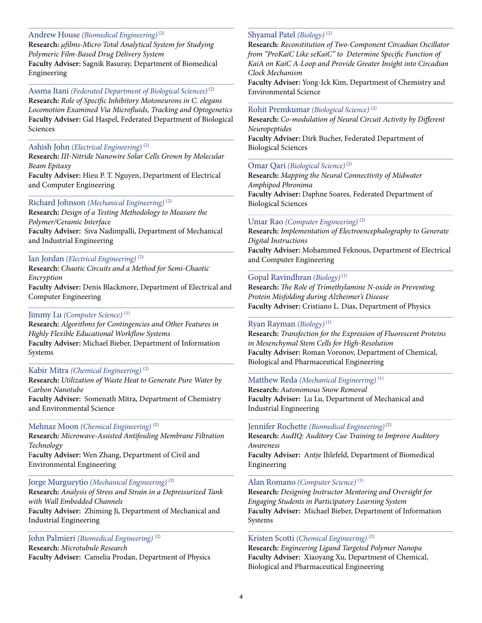### Andrew House *(Biomedical Engineering)* (2)

**Research:** *µfilms-Micro Total Analytical System for Studying Polymeric Film-Based Drug Delivery System* **Faculty Adviser:** Sagnik Basuray, Department of Biomedical Engineering

### Assma Itani *(Federated Department of Biological Sciences)* (2)

**Research:** *Role of Specific Inhibitory Motoneurons in C. elegans Locomotion Examined Via Microfluids, Tracking and Optogenetics* **Faculty Adviser:** Gal Haspel, Federated Department of Biological Sciences

### Ashish John *(Electrical Engineering)* (2)

**Research:** *III-Nitride Nanowire Solar Cells Grown by Molecular Beam Epitaxy*

**Faculty Adviser:** Hieu P. T. Nguyen, Department of Electrical and Computer Engineering

### Richard Johnson *(Mechanical Engineering)* (2)

**Research:** *Design of a Testing Methodology to Measure the Polymer/Ceramic Interface*  **Faculty Adviser:** Siva Nadimpalli, Department of Mechanical and Industrial Engineering

### Ian Jordan *(Electrical Engineering)* (2)

**Research:** *Chaotic Circuits and a Method for Semi-Chaotic Encryption*

**Faculty Adviser:** Denis Blackmore, Department of Electrical and Computer Engineering

### Jimmy Lu *(Computer Science)* (1)

**Research:** *Algorithms for Contingencies and Other Features in Highly Flexible Educational Workflow Systems* **Faculty Adviser:** Michael Bieber, Department of Information Systems

#### Kabir Mitra *(Chemical Engineering)* (2)

**Research:** *Utilization of Waste Heat to Generate Pure Water by Carbon Nanotube* 

**Faculty Adviser:** Somenath Mitra, Department of Chemistry and Environmental Science

#### Mehnaz Moon *(Chemical Engineering)* (2)

**Research:** *Microwave-Assisted Antifouling Membrane Filtration Technology* F**aculty Adviser:** Wen Zhang, Department of Civil and

Environmental Engineering

### Jorge Murgueytio *(Mechanical Engineering)* (2)

**Research:** *Analysis of Stress and Strain in a Depressurized Tank with Wall Embedded Channels* **Faculty Adviser:** Zhiming Ji, Department of Mechanical and Industrial Engineering

### John Palmieri *(Biomedical Engineering)* (2)

**Research:** *Microtubule Research* **Faculty Adviser:** Camelia Prodan, Department of Physics

### Shyamal Patel *(Biology)* (2)

**Research:** *Reconstitution of Two-Component Circadian Oscillator from "ProKaiC Like seKaiC" to Determine Specific Function of KaiA on KaiC A-Loop and Provide Greater Insight into Circadian Clock Mechanism*

**Faculty Adviser:** Yong-Ick Kim, Department of Chemistry and Environmental Science

### Rohit Premkumar *(Biological Science)* (2)

**Research:** *Co-modulation of Neural Circuit Activity by Different Neuropeptides* **Faculty Adviser:** Dirk Bucher, Federated Department of Biological Sciences

### Omar Qari *(Biological Science)* (2)

**Research:** *Mapping the Neural Connectivity of Midwater Amphipod Phronima* **Faculty Adviser:** Daphne Soares, Federated Department of Biological Sciences

### Umar Rao *(Computer Engineering)* (2)

**Research:** *Implementation of Electroencephalography to Generate Digital Instructions* **Faculty Adviser:** Mohammed Feknous, Department of Electrical and Computer Engineering

### Gopal Ravindhran *(Biology)* (1)

**Research:** *The Role of Trimethylamine N-oxide in Preventing Protein Misfolding during Alzheimer's Disease* **Faculty Adviser:** Cristiano L. Dias, Department of Physics

### Ryan Rayman *(Biology)* (1)

**Research:** *Transfection for the Expression of Fluorescent Proteins in Mesenchymal Stem Cells for High-Resolution* **Faculty Adviser:** Roman Voronov, Department of Chemical, Biological and Pharmaceutical Engineering

### Matthew Reda *(Mechanical Engineering)* (1)

**Research:** *Autonomous Snow Removal* **Faculty Adviser:** Lu Lu, Department of Mechanical and Industrial Engineering

Jennifer Rochette *(Biomedical Engineering)* (2)

**Research:** *AudIQ: Auditory Cue Training to Improve Auditory Awareness*

**Faculty Adviser:** Antje Ihlefeld, Department of Biomedical Engineering

### Alan Romano *(Computer Science)* (1)

**Research:** *Designing Instructor Mentoring and Oversight for Engaging Students in Participatory Learning System* **Faculty Adviser:** Michael Bieber, Department of Information Systems

#### Kristen Scotti *(Chemical Engineering)* (2)

**Research:** *Engineering Ligand Targeted Polymer Nanopa* **Faculty Adviser:** Xiaoyang Xu, Department of Chemical, Biological and Pharmaceutical Engineering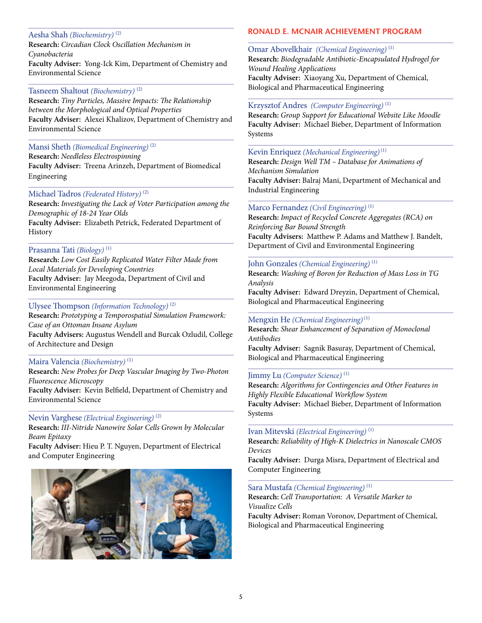### Aesha Shah *(Biochemistry)* (2)

**Research:** *Circadian Clock Oscillation Mechanism in Cyanobacteria* **Faculty Adviser:** Yong-Ick Kim, Department of Chemistry and Environmental Science

### Tasneem Shaltout *(Biochemistry)* (2)

**Research:** *Tiny Particles, Massive Impacts: The Relationship between the Morphological and Optical Properties* **Faculty Adviser:** Alexei Khalizov, Department of Chemistry and Environmental Science

### Mansi Sheth *(Biomedical Engineering)* (2)

**Research:** *Needleless Electrospinning* **Faculty Adviser:** Treena Arinzeh, Department of Biomedical Engineering

### Michael Tadros *(Federated History)* (2)

**Research:** *Investigating the Lack of Voter Participation among the Demographic of 18-24 Year Olds* **Faculty Adviser:** Elizabeth Petrick, Federated Department of History

### Prasanna Tati *(Biology)* (1)

**Research:** *Low Cost Easily Replicated Water Filter Made from Local Materials for Developing Countries* **Faculty Adviser:** Jay Meegoda, Department of Civil and Environmental Engineering

### Ulysee Thompson *(Information Technology)* (2)

**Research:** *Prototyping a Temporospatial Simulation Framework: Case of an Ottoman Insane Asylum* **Faculty Advisers:** Augustus Wendell and Burcak Ozludil, College of Architecture and Design

### Maira Valencia *(Biochemistry)* (1)

**Research:** *New Probes for Deep Vascular Imaging by Two-Photon Fluorescence Microscopy* **Faculty Adviser:** Kevin Belfield, Department of Chemistry and Environmental Science

### Nevin Varghese *(Electrical Engineering)* (2)

**Research:** *III-Nitride Nanowire Solar Cells Grown by Molecular Beam Epitaxy*

**Faculty Adviser:** Hieu P. T. Nguyen, Department of Electrical and Computer Engineering



### **RONALD E. MCNAIR ACHIEVEMENT PROGRAM**

Omar Abovelkhair *(Chemical Engineering)* (1) **Research:** *Biodegradable Antibiotic-Encapsulated Hydrogel for Wound Healing Applications* **Faculty Adviser:** Xiaoyang Xu, Department of Chemical, Biological and Pharmaceutical Engineering

### Krzysztof Andres *(Computer Engineering)* (1)

**Research:** *Group Support for Educational Website Like Moodle* **Faculty Adviser:** Michael Bieber, Department of Information Systems

### Kevin Enriquez *(Mechanical Engineering)* (1)

**Research:** *Design Well TM – Database for Animations of Mechanism Simulation* **Faculty Adviser:** Balraj Mani, Department of Mechanical and Industrial Engineering

### Marco Fernandez *(Civil Engineering)* (1)

**Research:** *Impact of Recycled Concrete Aggregates (RCA) on Reinforcing Bar Bound Strength* **Faculty Advisers:** Matthew P. Adams and Matthew J. Bandelt, Department of Civil and Environmental Engineering

### John Gonzales *(Chemical Engineering)* (1)

**Research:** *Washing of Boron for Reduction of Mass Loss in TG Analysis*

**Faculty Adviser:** Edward Dreyzin, Department of Chemical, Biological and Pharmaceutical Engineering

### Mengxin He *(Chemical Engineering)* (1)

**Research:** *Shear Enhancement of Separation of Monoclonal Antibodies*

**Faculty Adviser:** Sagnik Basuray, Department of Chemical, Biological and Pharmaceutical Engineering

### Jimmy Lu *(Computer Science)* (1)

**Research:** *Algorithms for Contingencies and Other Features in Highly Flexible Educational Workflow System* **Faculty Adviser:** Michael Bieber, Department of Information Systems

### Ivan Mitevski *(Electrical Engineering)* (1)

**Research:** *Reliability of High-K Dielectrics in Nanoscale CMOS Devices*

**Faculty Adviser:** Durga Misra, Department of Electrical and Computer Engineering

### Sara Mustafa *(Chemical Engineering)* (1)

**Research:** *Cell Transportation: A Versatile Marker to Visualize Cells* **Faculty Adviser:** Roman Voronov, Department of Chemical, Biological and Pharmaceutical Engineering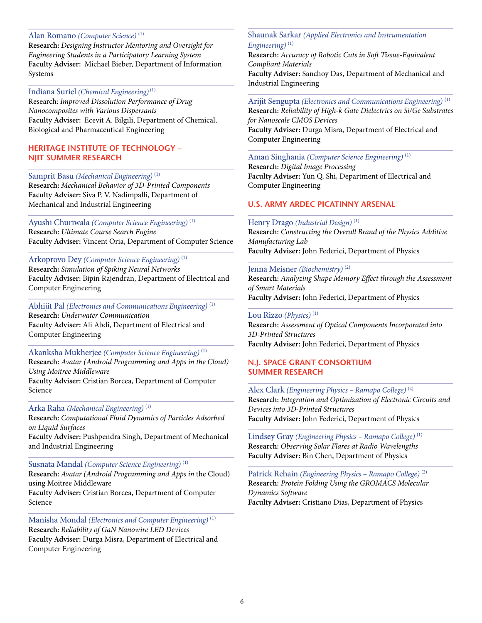### Alan Romano *(Computer Science)* (1)

**Research:** *Designing Instructor Mentoring and Oversight for Engineering Students in a Participatory Learning System* **Faculty Adviser:** Michael Bieber, Department of Information Systems

### Indiana Suriel *(Chemical Engineering)* (1)

Research: *Improved Dissolution Performance of Drug Nanocomposites with Various Dispersants* **Faculty Adviser:** Ecevit A. Bilgili, Department of Chemical, Biological and Pharmaceutical Engineering

#### **HERITAGE INSTITUTE OF TECHNOLOGY – NJIT SUMMER RESEARCH**

#### Samprit Basu *(Mechanical Engineering)* (1)

**Research:** *Mechanical Behavior of 3D-Printed Components* **Faculty Adviser:** Siva P. V. Nadimpalli, Department of Mechanical and Industrial Engineering

### Ayushi Churiwala *(Computer Science Engineering)* (1) **Research:** *Ultimate Course Search Engine* **Faculty Adviser:** Vincent Oria, Department of Computer Science

## Arkoprovo Dey *(Computer Science Engineering)* (1)

**Research:** *Simulation of Spiking Neural Networks* **Faculty Adviser:** Bipin Rajendran, Department of Electrical and Computer Engineering

### Abhijit Pal *(Electronics and Communications Engineering)* (1) **Research:** *Underwater Communication* **Faculty Adviser:** Ali Abdi, Department of Electrical and Computer Engineering

Akanksha Mukherjee *(Computer Science Engineering)* (1) **Research:** *Avatar (Android Programming and Apps in the Cloud) Using Moitree Middleware* **Faculty Adviser:** Cristian Borcea, Department of Computer Science

#### Arka Raha *(Mechanical Engineering)* (1)

**Research:** *Computational Fluid Dynamics of Particles Adsorbed on Liquid Surfaces*

**Faculty Adviser:** Pushpendra Singh, Department of Mechanical and Industrial Engineering

### Susnata Mandal *(Computer Science Engineering)* (1)

**Research:** *Avatar (Android Programming and Apps in* the Cloud) using Moitree Middleware **Faculty Adviser:** Cristian Borcea, Department of Computer Science

## Manisha Mondal *(Electronics and Computer Engineering)* (1) **Research:** *Reliability of GaN Nanowire LED Devices*

**Faculty Adviser:** Durga Misra, Department of Electrical and Computer Engineering

### Shaunak Sarkar *(Applied Electronics and Instrumentation Engineering)* (1)

**Research:** *Accuracy of Robotic Cuts in Soft Tissue-Equivalent Compliant Materials* **Faculty Adviser:** Sanchoy Das, Department of Mechanical and Industrial Engineering

### Arijit Sengupta *(Electronics and Communications Engineering)* (1) **Research:** *Reliability of High-k Gate Dielectrics on Si/Ge Substrates for Nanoscale CMOS Devices* **Faculty Adviser:** Durga Misra, Department of Electrical and Computer Engineering

### Aman Singhania *(Computer Science Engineering)* (1)

**Research:** *Digital Image Processing* **Faculty Adviser:** Yun Q. Shi, Department of Electrical and Computer Engineering

#### **U.S. ARMY ARDEC PICATINNY ARSENAL**

#### Henry Drago *(Industrial Design)* (1)

**Research:** *Constructing the Overall Brand of the Physics Additive Manufacturing Lab* **Faculty Adviser:** John Federici, Department of Physics

### Jenna Meisner *(Biochemistry)* (2)

**Research:** *Analyzing Shape Memory Effect through the Assessment of Smart Materials* **Faculty Adviser:** John Federici, Department of Physics

### Lou Rizzo *(Physics)* (1)

**Research:** *Assessment of Optical Components Incorporated into 3D-Printed Structures* **Faculty Adviser:** John Federici, Department of Physics

### **N.J. SPACE GRANT CONSORTIUM SUMMER RESEARCH**

### Alex Clark *(Engineering Physics – Ramapo College)* (2)

**Research:** *Integration and Optimization of Electronic Circuits and Devices into 3D-Printed Structures* **Faculty Adviser:** John Federici, Department of Physics

Lindsey Gray *(Engineering Physics – Ramapo College)* (1) **Research:** *Observing Solar Flares at Radio Wavelengths* **Faculty Adviser:** Bin Chen, Department of Physics

Patrick Rehain *(Engineering Physics – Ramapo College)* (2) **Research:** *Protein Folding Using the GROMACS Molecular Dynamics Software* **Faculty Adviser:** Cristiano Dias, Department of Physics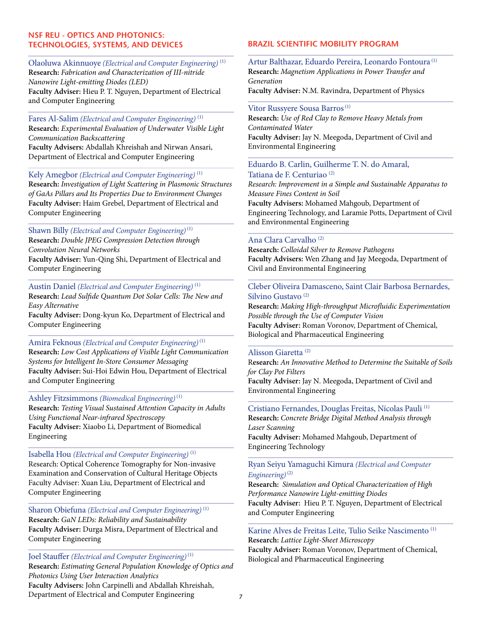### **NSF REU - OPTICS AND PHOTONICS: TECHNOLOGIES, SYSTEMS, AND DEVICES**

### Olaoluwa Akinnuoye *(Electrical and Computer Engineering)* (1) **Research:** *Fabrication and Characterization of III-nitride Nanowire Light-emitting Diodes (LED)* **Faculty Adviser:** Hieu P. T. Nguyen, Department of Electrical and Computer Engineering

## Fares Al-Salim *(Electrical and Computer Engineering)* (1)

**Research:** *Experimental Evaluation of Underwater Visible Light Communication Backscattering* **Faculty Advisers:** Abdallah Khreishah and Nirwan Ansari,

Department of Electrical and Computer Engineering

### Kely Amegbor *(Electrical and Computer Engineering)* (1)

**Research:** *Investigation of Light Scattering in Plasmonic Structures of GaAs Pillars and Its Properties Due to Environment Changes* **Faculty Adviser:** Haim Grebel, Department of Electrical and Computer Engineering

### Shawn Billy *(Electrical and Computer Engineering)* (1)

**Research:** *Double JPEG Compression Detection through Convolution Neural Networks*  **Faculty Adviser:** Yun-Qing Shi, Department of Electrical and Computer Engineering

### Austin Daniel *(Electrical and Computer Engineering)* (1)

**Research:** *Lead Sulfide Quantum Dot Solar Cells: The New and Easy Alternative*

**Faculty Adviser:** Dong-kyun Ko, Department of Electrical and Computer Engineering

### Amira Feknous *(Electrical and Computer Engineering)* (1)

**Research:** *Low Cost Applications of Visible Light Communication Systems for Intelligent In-Store Consumer Messaging* **Faculty Adviser:** Sui-Hoi Edwin Hou, Department of Electrical and Computer Engineering

### Ashley Fitzsimmons *(Biomedical Engineering)* (1)

**Research:** *Testing Visual Sustained Attention Capacity in Adults Using Functional Near-infrared Spectroscopy* **Faculty Adviser:** Xiaobo Li, Department of Biomedical Engineering

### Isabella Hou *(Electrical and Computer Engineering)* (1)

Research: Optical Coherence Tomography for Non-invasive Examination and Conservation of Cultural Heritage Objects Faculty Adviser: Xuan Liu, Department of Electrical and Computer Engineering

Sharon Obiefuna *(Electrical and Computer Engineering)* (1) **Research:** *GaN LEDs: Reliability and Sustainability* **Faculty Adviser:** Durga Misra, Department of Electrical and Computer Engineering

### Joel Stauffer *(Electrical and Computer Engineering)* (1)

**Research:** *Estimating General Population Knowledge of Optics and Photonics Using User Interaction Analytics*

**Faculty Advisers:** John Carpinelli and Abdallah Khreishah, Department of Electrical and Computer Engineering

### **BRAZIL SCIENTIFIC MOBILITY PROGRAM**

Artur Balthazar, Eduardo Pereira, Leonardo Fontoura (1) **Research:** *Magnetism Applications in Power Transfer and Generation* **Faculty Adviser:** N.M. Ravindra, Department of Physics

#### Vitor Russyere Sousa Barros<sup>(1)</sup>

**Research:** *Use of Red Clay to Remove Heavy Metals from Contaminated Water* **Faculty Adviser:** Jay N. Meegoda, Department of Civil and Environmental Engineering

#### Eduardo B. Carlin, Guilherme T. N. do Amaral, Tatiana de F. Centuriao (2)

*Research: Improvement in a Simple and Sustainable Apparatus to Measure Fines Content in Soil*  **Faculty Advisers:** Mohamed Mahgoub, Department of

Engineering Technology, and Laramie Potts, Department of Civil and Environmental Engineering

### Ana Clara Carvalho (2)

**Research:** *Colloidal Silver to Remove Pathogens* **Faculty Advisers:** Wen Zhang and Jay Meegoda, Department of Civil and Environmental Engineering

### Cleber Oliveira Damasceno, Saint Clair Barbosa Bernardes, Silvino Gustavo (2)

**Research:** *Making High-throughput Microfluidic Experimentation Possible through the Use of Computer Vision* **Faculty Adviser:** Roman Voronov, Department of Chemical, Biological and Pharmaceutical Engineering

### Alisson Giaretta (2)

R**esearch:** *An Innovative Method to Determine the Suitable of Soils for Clay Pot Filters* **Faculty Adviser:** Jay N. Meegoda, Department of Civil and Environmental Engineering

### Cristiano Fernandes, Douglas Freitas, Nícolas Pauli (1) **Research:** *Concrete Bridge Digital Method Analysis through*

*Laser Scanning* **Faculty Adviser:** Mohamed Mahgoub, Department of

Engineering Technology

### Ryan Seiyu Yamaguchi Kimura *(Electrical and Computer Engineering)* (2)

**Research:** *Simulation and Optical Characterization of High Performance Nanowire Light-emitting Diodes*  **Faculty Adviser:** Hieu P. T. Nguyen, Department of Electrical and Computer Engineering

### Karine Alves de Freitas Leite, Tulio Seike Nascimento (1) **Research:** *Lattice Light-Sheet Microscopy*

**Faculty Adviser:** Roman Voronov, Department of Chemical, Biological and Pharmaceutical Engineering